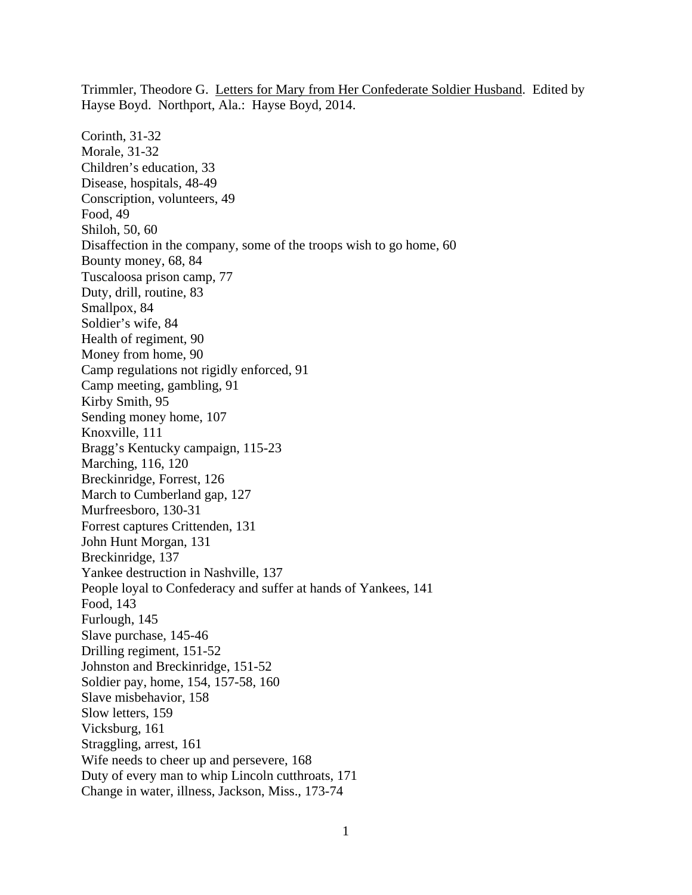Hayse Boyd. Northport, Ala.: Hayse Boyd, 2014. Corinth, 31-32 Morale, 31-32 Children's education, 33 Disease, hospitals, 48-49 Conscription, volunteers, 49 Food, 49 Shiloh, 50, 60 Disaffection in the company, some of the troops wish to go home, 60 Bounty money, 68, 84 Tuscaloosa prison camp, 77 Duty, drill, routine, 83 Smallpox, 84 Soldier's wife, 84 Health of regiment, 90 Money from home, 90 Camp regulations not rigidly enforced, 91 Camp meeting, gambling, 91 Kirby Smith, 95 Sending money home, 107 Knoxville, 111 Bragg's Kentucky campaign, 115-23 Marching, 116, 120 Breckinridge, Forrest, 126 March to Cumberland gap, 127 Murfreesboro, 130-31 Forrest captures Crittenden, 131 John Hunt Morgan, 131 Breckinridge, 137 Yankee destruction in Nashville, 137 People loyal to Confederacy and suffer at hands of Yankees, 141 Food, 143 Furlough, 145 Slave purchase, 145-46 Drilling regiment, 151-52 Johnston and Breckinridge, 151-52 Soldier pay, home, 154, 157-58, 160 Slave misbehavior, 158 Slow letters, 159 Vicksburg, 161 Straggling, arrest, 161 Wife needs to cheer up and persevere, 168 Duty of every man to whip Lincoln cutthroats, 171 Change in water, illness, Jackson, Miss., 173-74

Trimmler, Theodore G. Letters for Mary from Her Confederate Soldier Husband. Edited by